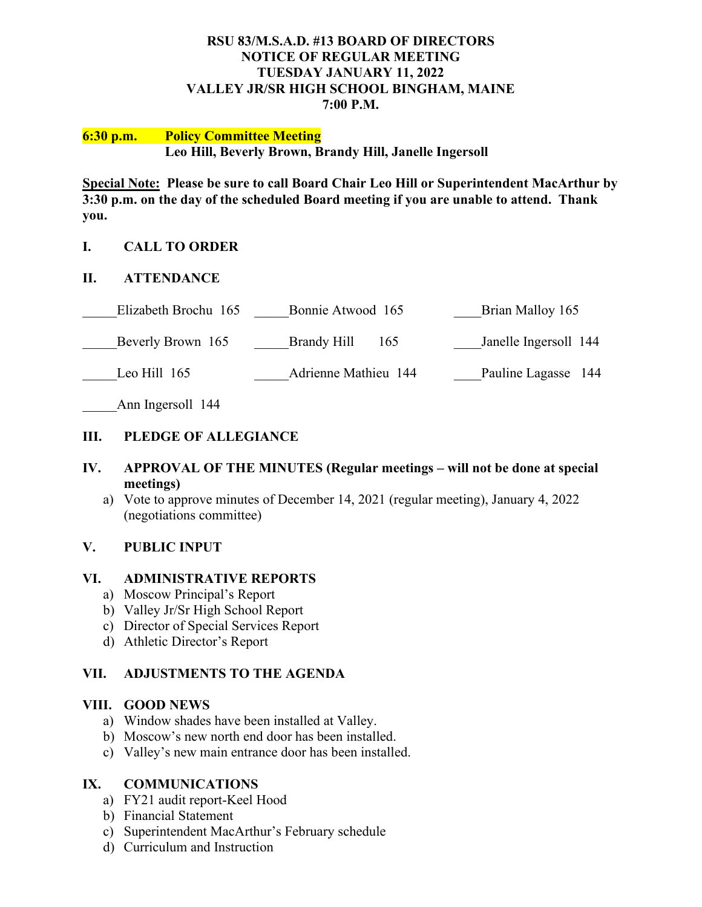#### **RSU 83/M.S.A.D. #13 BOARD OF DIRECTORS NOTICE OF REGULAR MEETING TUESDAY JANUARY 11, 2022 VALLEY JR/SR HIGH SCHOOL BINGHAM, MAINE 7:00 P.M.**

#### **6:30 p.m. Policy Committee Meeting Leo Hill, Beverly Brown, Brandy Hill, Janelle Ingersoll**

**Special Note: Please be sure to call Board Chair Leo Hill or Superintendent MacArthur by 3:30 p.m. on the day of the scheduled Board meeting if you are unable to attend. Thank you.**

## **I. CALL TO ORDER**

#### **II. ATTENDANCE**

| Elizabeth Brochu 165 | Bonnie Atwood 165    | Brian Malloy 165      |
|----------------------|----------------------|-----------------------|
| Beverly Brown 165    | Brandy Hill<br>165   | Janelle Ingersoll 144 |
| Leo Hill $165$       | Adrienne Mathieu 144 | Pauline Lagasse 144   |

Ann Ingersoll 144

## **III. PLEDGE OF ALLEGIANCE**

#### **IV. APPROVAL OF THE MINUTES (Regular meetings – will not be done at special meetings)**

a) Vote to approve minutes of December 14, 2021 (regular meeting), January 4, 2022 (negotiations committee)

## **V. PUBLIC INPUT**

#### **VI. ADMINISTRATIVE REPORTS**

- a) Moscow Principal's Report
- b) Valley Jr/Sr High School Report
- c) Director of Special Services Report
- d) Athletic Director's Report

## **VII. ADJUSTMENTS TO THE AGENDA**

#### **VIII. GOOD NEWS**

- a) Window shades have been installed at Valley.
- b) Moscow's new north end door has been installed.
- c) Valley's new main entrance door has been installed.

## **IX. COMMUNICATIONS**

- a) FY21 audit report-Keel Hood
- b) Financial Statement
- c) Superintendent MacArthur's February schedule
- d) Curriculum and Instruction